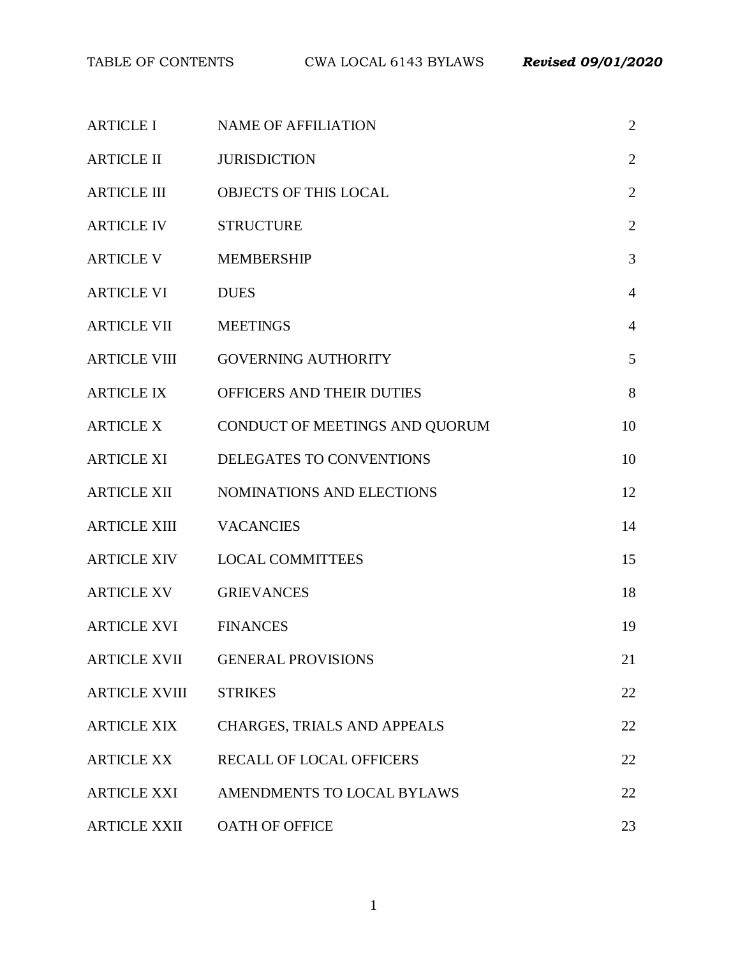| <b>ARTICLE I</b>     | <b>NAME OF AFFILIATION</b>       | $\overline{2}$ |
|----------------------|----------------------------------|----------------|
| <b>ARTICLE II</b>    | <b>JURISDICTION</b>              | $\overline{2}$ |
| <b>ARTICLE III</b>   | <b>OBJECTS OF THIS LOCAL</b>     | $\sqrt{2}$     |
| <b>ARTICLE IV</b>    | <b>STRUCTURE</b>                 | $\overline{2}$ |
| <b>ARTICLE V</b>     | <b>MEMBERSHIP</b>                | $\mathfrak{Z}$ |
| <b>ARTICLE VI</b>    | <b>DUES</b>                      | $\overline{4}$ |
| <b>ARTICLE VII</b>   | <b>MEETINGS</b>                  | $\overline{4}$ |
|                      | ARTICLE VIII GOVERNING AUTHORITY | 5              |
| <b>ARTICLE IX</b>    | OFFICERS AND THEIR DUTIES        | 8              |
| <b>ARTICLE X</b>     | CONDUCT OF MEETINGS AND QUORUM   | 10             |
| <b>ARTICLE XI</b>    | DELEGATES TO CONVENTIONS         | 10             |
| <b>ARTICLE XII</b>   | NOMINATIONS AND ELECTIONS        | 12             |
| <b>ARTICLE XIII</b>  | <b>VACANCIES</b>                 | 14             |
| <b>ARTICLE XIV</b>   | <b>LOCAL COMMITTEES</b>          | 15             |
| ARTICLE XV           | <b>GRIEVANCES</b>                | 18             |
| <b>ARTICLE XVI</b>   | <b>FINANCES</b>                  | 19             |
|                      | ARTICLE XVII GENERAL PROVISIONS  | 21             |
| <b>ARTICLE XVIII</b> | <b>STRIKES</b>                   | 22             |
| <b>ARTICLE XIX</b>   | CHARGES, TRIALS AND APPEALS      | 22             |
| <b>ARTICLE XX</b>    | <b>RECALL OF LOCAL OFFICERS</b>  | 22             |
| <b>ARTICLE XXI</b>   | AMENDMENTS TO LOCAL BYLAWS       | 22             |
| <b>ARTICLE XXII</b>  | OATH OF OFFICE                   | 23             |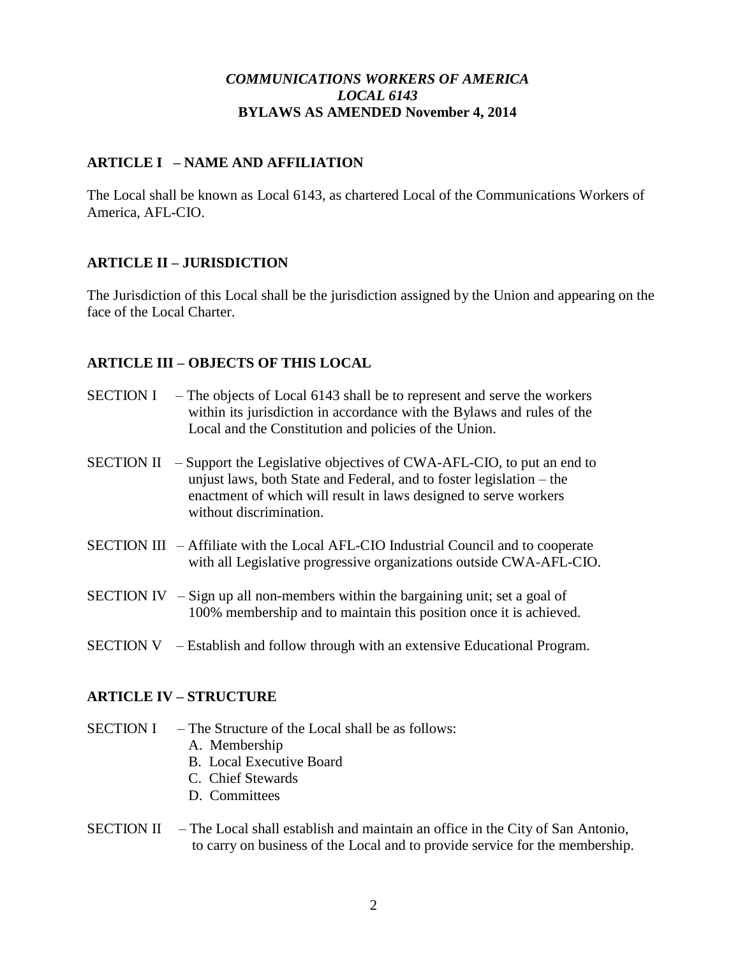## *COMMUNICATIONS WORKERS OF AMERICA LOCAL 6143* **BYLAWS AS AMENDED November 4, 2014**

# **ARTICLE I – NAME AND AFFILIATION**

The Local shall be known as Local 6143, as chartered Local of the Communications Workers of America, AFL-CIO.

# **ARTICLE II – JURISDICTION**

The Jurisdiction of this Local shall be the jurisdiction assigned by the Union and appearing on the face of the Local Charter.

## **ARTICLE III – OBJECTS OF THIS LOCAL**

- SECTION I The objects of Local 6143 shall be to represent and serve the workers within its jurisdiction in accordance with the Bylaws and rules of the Local and the Constitution and policies of the Union.
- SECTION II Support the Legislative objectives of CWA-AFL-CIO, to put an end to unjust laws, both State and Federal, and to foster legislation – the enactment of which will result in laws designed to serve workers without discrimination.
- SECTION III Affiliate with the Local AFL-CIO Industrial Council and to cooperate with all Legislative progressive organizations outside CWA-AFL-CIO.
- SECTION IV Sign up all non-members within the bargaining unit; set a goal of 100% membership and to maintain this position once it is achieved.
- SECTION V Establish and follow through with an extensive Educational Program.

## **ARTICLE IV – STRUCTURE**

- SECTION I The Structure of the Local shall be as follows:
	- A. Membership
	- B. Local Executive Board
	- C. Chief Stewards
	- D. Committees
- SECTION II The Local shall establish and maintain an office in the City of San Antonio, to carry on business of the Local and to provide service for the membership.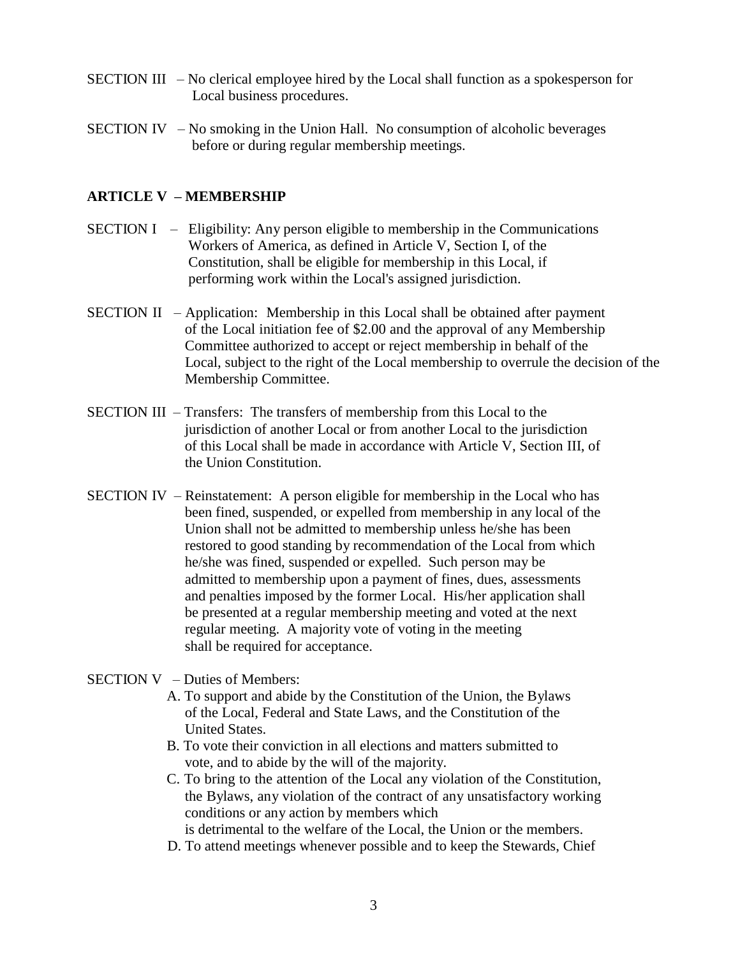- SECTION III No clerical employee hired by the Local shall function as a spokesperson for Local business procedures.
- SECTION IV No smoking in the Union Hall. No consumption of alcoholic beverages before or during regular membership meetings.

## **ARTICLE V – MEMBERSHIP**

- SECTION I Eligibility: Any person eligible to membership in the Communications Workers of America, as defined in Article V, Section I, of the Constitution, shall be eligible for membership in this Local, if performing work within the Local's assigned jurisdiction.
- SECTION II Application: Membership in this Local shall be obtained after payment of the Local initiation fee of \$2.00 and the approval of any Membership Committee authorized to accept or reject membership in behalf of the Local, subject to the right of the Local membership to overrule the decision of the Membership Committee.
- SECTION III Transfers: The transfers of membership from this Local to the jurisdiction of another Local or from another Local to the jurisdiction of this Local shall be made in accordance with Article V, Section III, of the Union Constitution.
- SECTION IV Reinstatement: A person eligible for membership in the Local who has been fined, suspended, or expelled from membership in any local of the Union shall not be admitted to membership unless he/she has been restored to good standing by recommendation of the Local from which he/she was fined, suspended or expelled. Such person may be admitted to membership upon a payment of fines, dues, assessments and penalties imposed by the former Local. His/her application shall be presented at a regular membership meeting and voted at the next regular meeting. A majority vote of voting in the meeting shall be required for acceptance.
- SECTION V Duties of Members:
	- A. To support and abide by the Constitution of the Union, the Bylaws of the Local, Federal and State Laws, and the Constitution of the United States.
	- B. To vote their conviction in all elections and matters submitted to vote, and to abide by the will of the majority.
	- C. To bring to the attention of the Local any violation of the Constitution, the Bylaws, any violation of the contract of any unsatisfactory working conditions or any action by members which

is detrimental to the welfare of the Local, the Union or the members.

D. To attend meetings whenever possible and to keep the Stewards, Chief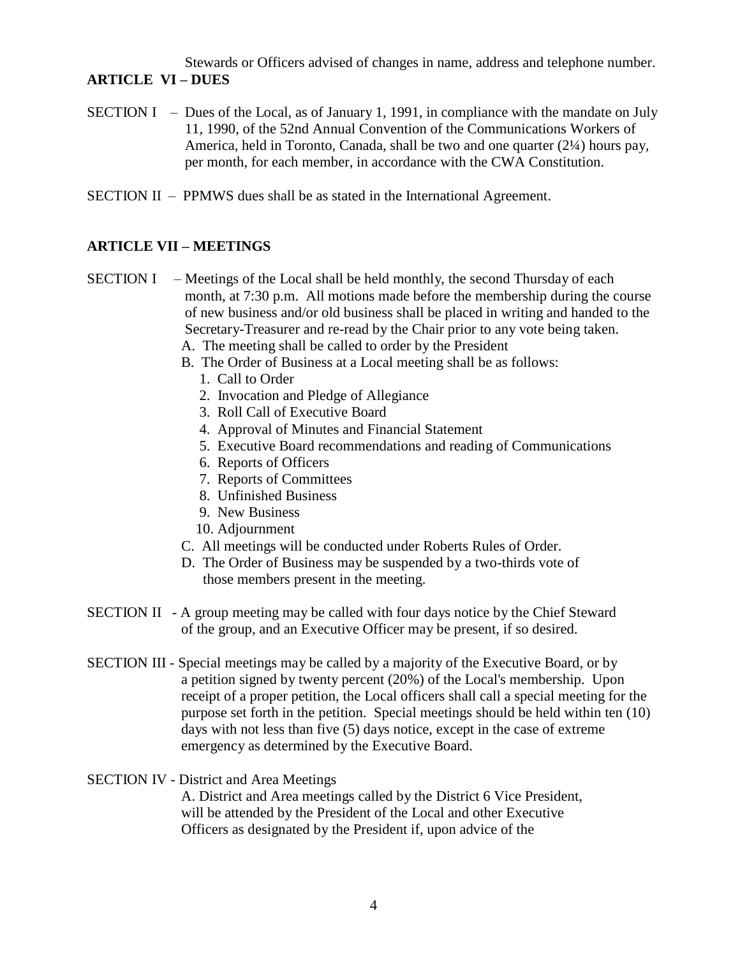Stewards or Officers advised of changes in name, address and telephone number. **ARTICLE VI – DUES**

- SECTION I Dues of the Local, as of January 1, 1991, in compliance with the mandate on July 11, 1990, of the 52nd Annual Convention of the Communications Workers of America, held in Toronto, Canada, shall be two and one quarter  $(2\frac{1}{4})$  hours pay, per month, for each member, in accordance with the CWA Constitution.
- SECTION II PPMWS dues shall be as stated in the International Agreement.

## **ARTICLE VII – MEETINGS**

- SECTION I Meetings of the Local shall be held monthly, the second Thursday of each month, at 7:30 p.m. All motions made before the membership during the course of new business and/or old business shall be placed in writing and handed to the Secretary-Treasurer and re-read by the Chair prior to any vote being taken.
	- A. The meeting shall be called to order by the President
	- B. The Order of Business at a Local meeting shall be as follows:
		- 1. Call to Order
		- 2. Invocation and Pledge of Allegiance
		- 3. Roll Call of Executive Board
		- 4. Approval of Minutes and Financial Statement
		- 5. Executive Board recommendations and reading of Communications
		- 6. Reports of Officers
		- 7. Reports of Committees
		- 8. Unfinished Business
		- 9. New Business
		- 10. Adjournment
	- C. All meetings will be conducted under Roberts Rules of Order.
	- D. The Order of Business may be suspended by a two-thirds vote of those members present in the meeting.
- SECTION II A group meeting may be called with four days notice by the Chief Steward of the group, and an Executive Officer may be present, if so desired.
- SECTION III Special meetings may be called by a majority of the Executive Board, or by a petition signed by twenty percent (20%) of the Local's membership. Upon receipt of a proper petition, the Local officers shall call a special meeting for the purpose set forth in the petition. Special meetings should be held within ten (10) days with not less than five (5) days notice, except in the case of extreme emergency as determined by the Executive Board.

#### SECTION IV - District and Area Meetings

A. District and Area meetings called by the District 6 Vice President, will be attended by the President of the Local and other Executive Officers as designated by the President if, upon advice of the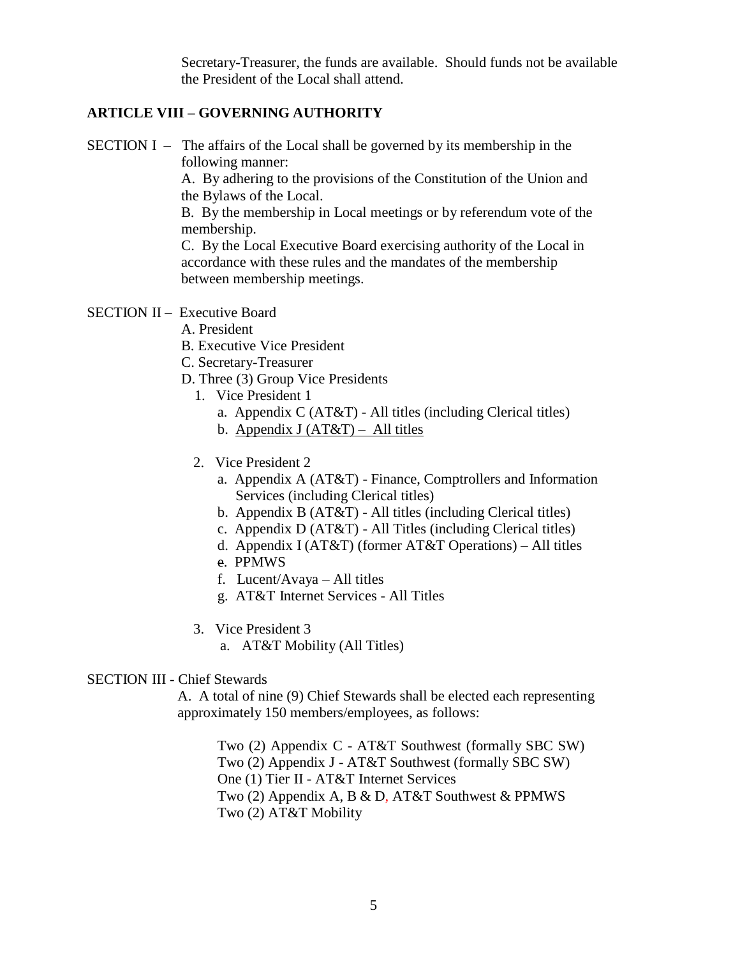Secretary-Treasurer, the funds are available. Should funds not be available the President of the Local shall attend.

## **ARTICLE VIII – GOVERNING AUTHORITY**

SECTION I – The affairs of the Local shall be governed by its membership in the following manner:

A. By adhering to the provisions of the Constitution of the Union and the Bylaws of the Local.

B. By the membership in Local meetings or by referendum vote of the membership.

C. By the Local Executive Board exercising authority of the Local in accordance with these rules and the mandates of the membership between membership meetings.

- SECTION II Executive Board
	- A. President
	- B. Executive Vice President
	- C. Secretary-Treasurer
	- D. Three (3) Group Vice Presidents
		- 1. Vice President 1
			- a. Appendix C (AT&T) All titles (including Clerical titles)
			- b. Appendix  $J (AT&T) All titles$
		- 2. Vice President 2
			- a. Appendix A (AT&T) Finance, Comptrollers and Information Services (including Clerical titles)
			- b. Appendix B (AT&T) All titles (including Clerical titles)
			- c. Appendix D (AT&T) All Titles (including Clerical titles)
			- d. Appendix I (AT&T) (former AT&T Operations) All titles
			- e. PPMWS
			- f. Lucent/Avaya All titles
			- g. AT&T Internet Services All Titles
		- 3. Vice President 3
			- a. AT&T Mobility (All Titles)

#### SECTION III - Chief Stewards

A. A total of nine (9) Chief Stewards shall be elected each representing approximately 150 members/employees, as follows:

Two (2) Appendix C - AT&T Southwest (formally SBC SW) Two (2) Appendix J - AT&T Southwest (formally SBC SW) One (1) Tier II - AT&T Internet Services Two (2) Appendix A, B & D, AT&T Southwest & PPMWS Two (2) AT&T Mobility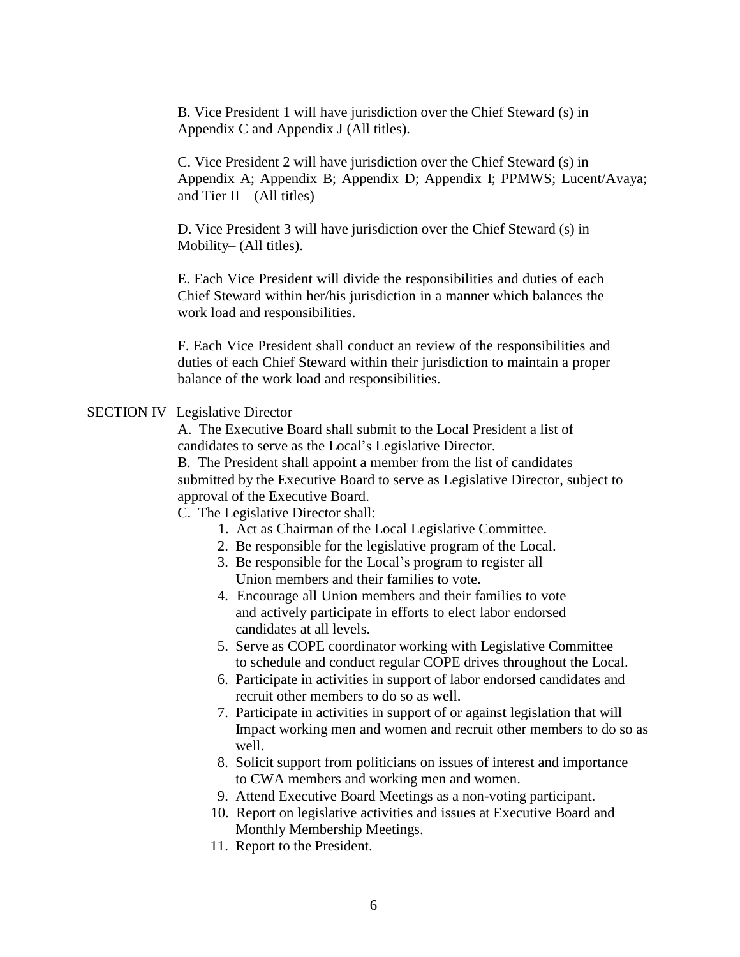B. Vice President 1 will have jurisdiction over the Chief Steward (s) in Appendix C and Appendix J (All titles).

C. Vice President 2 will have jurisdiction over the Chief Steward (s) in Appendix A; Appendix B; Appendix D; Appendix I; PPMWS; Lucent/Avaya; and Tier II – (All titles)

D. Vice President 3 will have jurisdiction over the Chief Steward (s) in Mobility– (All titles).

E. Each Vice President will divide the responsibilities and duties of each Chief Steward within her/his jurisdiction in a manner which balances the work load and responsibilities.

F. Each Vice President shall conduct an review of the responsibilities and duties of each Chief Steward within their jurisdiction to maintain a proper balance of the work load and responsibilities.

#### SECTION IV Legislative Director

A. The Executive Board shall submit to the Local President a list of candidates to serve as the Local's Legislative Director.

B. The President shall appoint a member from the list of candidates submitted by the Executive Board to serve as Legislative Director, subject to approval of the Executive Board.

C. The Legislative Director shall:

- 1. Act as Chairman of the Local Legislative Committee.
- 2. Be responsible for the legislative program of the Local.
- 3. Be responsible for the Local's program to register all Union members and their families to vote.
- 4. Encourage all Union members and their families to vote and actively participate in efforts to elect labor endorsed candidates at all levels.
- 5. Serve as COPE coordinator working with Legislative Committee to schedule and conduct regular COPE drives throughout the Local.
- 6. Participate in activities in support of labor endorsed candidates and recruit other members to do so as well.
- 7. Participate in activities in support of or against legislation that will Impact working men and women and recruit other members to do so as well.
- 8. Solicit support from politicians on issues of interest and importance to CWA members and working men and women.
- 9. Attend Executive Board Meetings as a non-voting participant.
- 10. Report on legislative activities and issues at Executive Board and Monthly Membership Meetings.
- 11. Report to the President.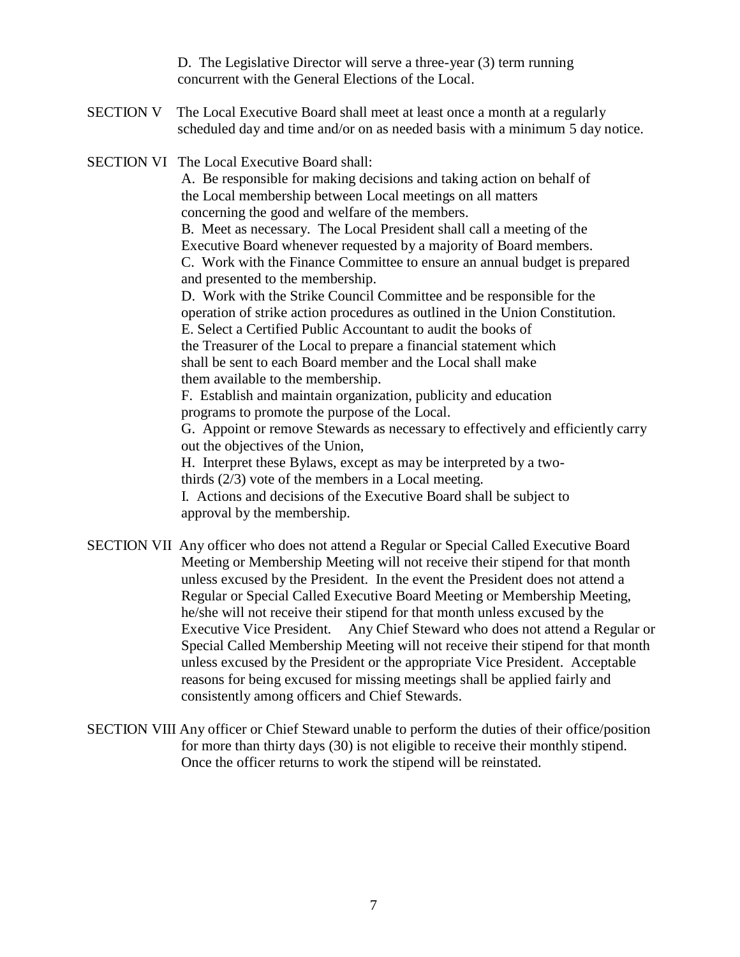D. The Legislative Director will serve a three-year (3) term running concurrent with the General Elections of the Local.

SECTION V The Local Executive Board shall meet at least once a month at a regularly scheduled day and time and/or on as needed basis with a minimum 5 day notice.

SECTION VI The Local Executive Board shall:

A. Be responsible for making decisions and taking action on behalf of the Local membership between Local meetings on all matters concerning the good and welfare of the members.

B. Meet as necessary. The Local President shall call a meeting of the Executive Board whenever requested by a majority of Board members. C. Work with the Finance Committee to ensure an annual budget is prepared and presented to the membership.

D. Work with the Strike Council Committee and be responsible for the operation of strike action procedures as outlined in the Union Constitution. E. Select a Certified Public Accountant to audit the books of

the Treasurer of the Local to prepare a financial statement which shall be sent to each Board member and the Local shall make them available to the membership.

F. Establish and maintain organization, publicity and education programs to promote the purpose of the Local.

G. Appoint or remove Stewards as necessary to effectively and efficiently carry out the objectives of the Union,

H. Interpret these Bylaws, except as may be interpreted by a twothirds (2/3) vote of the members in a Local meeting.

I. Actions and decisions of the Executive Board shall be subject to approval by the membership.

- SECTION VII Any officer who does not attend a Regular or Special Called Executive Board Meeting or Membership Meeting will not receive their stipend for that month unless excused by the President. In the event the President does not attend a Regular or Special Called Executive Board Meeting or Membership Meeting, he/she will not receive their stipend for that month unless excused by the Executive Vice President. Any Chief Steward who does not attend a Regular or Special Called Membership Meeting will not receive their stipend for that month unless excused by the President or the appropriate Vice President. Acceptable reasons for being excused for missing meetings shall be applied fairly and consistently among officers and Chief Stewards.
- SECTION VIII Any officer or Chief Steward unable to perform the duties of their office/position for more than thirty days (30) is not eligible to receive their monthly stipend. Once the officer returns to work the stipend will be reinstated.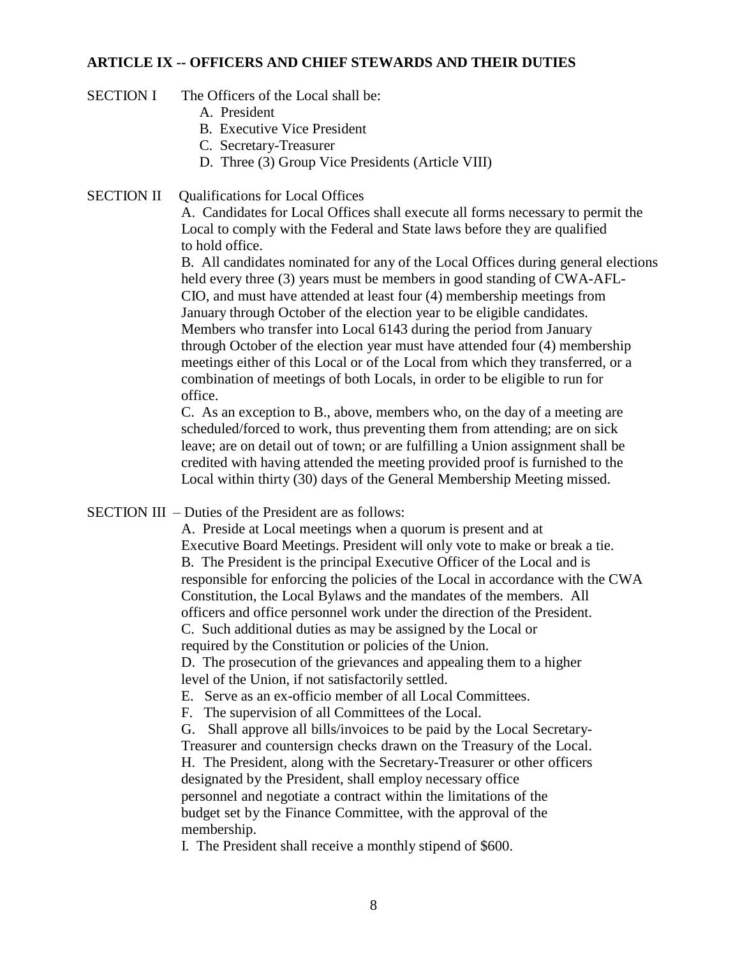#### **ARTICLE IX -- OFFICERS AND CHIEF STEWARDS AND THEIR DUTIES**

- SECTION I The Officers of the Local shall be:
	- A. President
	- B. Executive Vice President
	- C. Secretary-Treasurer
	- D. Three (3) Group Vice Presidents (Article VIII)
- SECTION II Qualifications for Local Offices

A. Candidates for Local Offices shall execute all forms necessary to permit the Local to comply with the Federal and State laws before they are qualified to hold office.

B. All candidates nominated for any of the Local Offices during general elections held every three (3) years must be members in good standing of CWA-AFL-CIO, and must have attended at least four (4) membership meetings from January through October of the election year to be eligible candidates. Members who transfer into Local 6143 during the period from January through October of the election year must have attended four (4) membership meetings either of this Local or of the Local from which they transferred, or a combination of meetings of both Locals, in order to be eligible to run for office.

C. As an exception to B., above, members who, on the day of a meeting are scheduled/forced to work, thus preventing them from attending; are on sick leave; are on detail out of town; or are fulfilling a Union assignment shall be credited with having attended the meeting provided proof is furnished to the Local within thirty (30) days of the General Membership Meeting missed.

## SECTION III – Duties of the President are as follows:

A. Preside at Local meetings when a quorum is present and at Executive Board Meetings. President will only vote to make or break a tie. B. The President is the principal Executive Officer of the Local and is responsible for enforcing the policies of the Local in accordance with the CWA Constitution, the Local Bylaws and the mandates of the members. All officers and office personnel work under the direction of the President. C. Such additional duties as may be assigned by the Local or required by the Constitution or policies of the Union.

D. The prosecution of the grievances and appealing them to a higher level of the Union, if not satisfactorily settled.

E. Serve as an ex-officio member of all Local Committees.

F. The supervision of all Committees of the Local.

G. Shall approve all bills/invoices to be paid by the Local Secretary-Treasurer and countersign checks drawn on the Treasury of the Local. H. The President, along with the Secretary-Treasurer or other officers designated by the President, shall employ necessary office personnel and negotiate a contract within the limitations of the

budget set by the Finance Committee, with the approval of the membership.

I. The President shall receive a monthly stipend of \$600.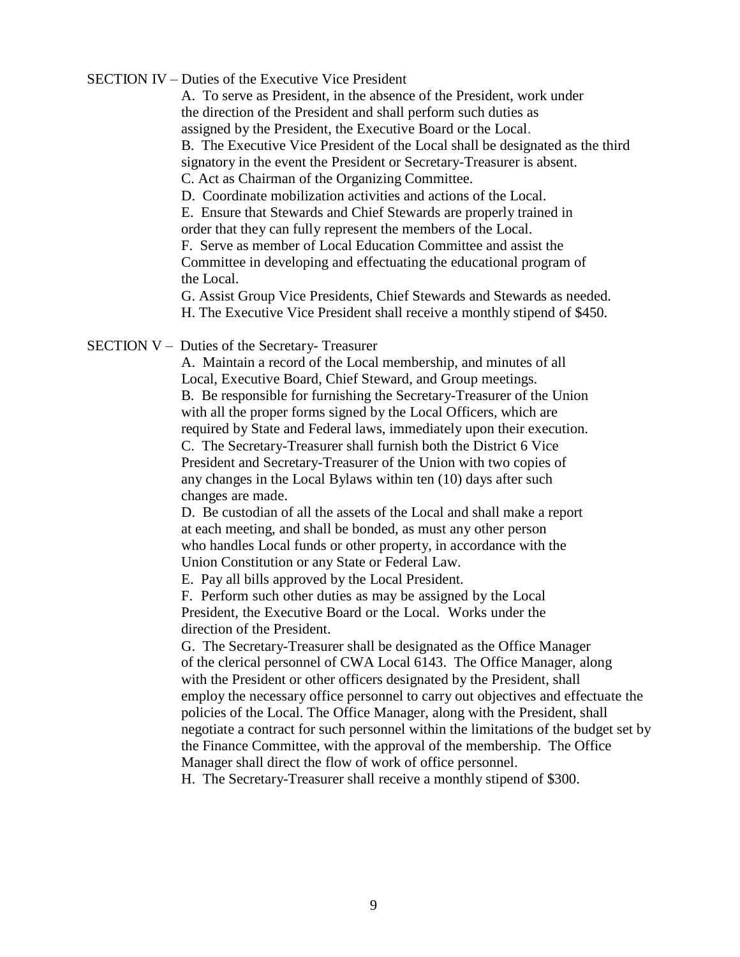#### SECTION IV – Duties of the Executive Vice President

A. To serve as President, in the absence of the President, work under the direction of the President and shall perform such duties as assigned by the President, the Executive Board or the Local.

B. The Executive Vice President of the Local shall be designated as the third signatory in the event the President or Secretary-Treasurer is absent.

C. Act as Chairman of the Organizing Committee.

D. Coordinate mobilization activities and actions of the Local.

E. Ensure that Stewards and Chief Stewards are properly trained in order that they can fully represent the members of the Local.

F. Serve as member of Local Education Committee and assist the Committee in developing and effectuating the educational program of the Local.

G. Assist Group Vice Presidents, Chief Stewards and Stewards as needed. H. The Executive Vice President shall receive a monthly stipend of \$450.

SECTION V – Duties of the Secretary- Treasurer

A. Maintain a record of the Local membership, and minutes of all Local, Executive Board, Chief Steward, and Group meetings. B. Be responsible for furnishing the Secretary-Treasurer of the Union with all the proper forms signed by the Local Officers, which are required by State and Federal laws, immediately upon their execution. C. The Secretary-Treasurer shall furnish both the District 6 Vice President and Secretary-Treasurer of the Union with two copies of any changes in the Local Bylaws within ten (10) days after such changes are made.

D. Be custodian of all the assets of the Local and shall make a report at each meeting, and shall be bonded, as must any other person who handles Local funds or other property, in accordance with the Union Constitution or any State or Federal Law.

E. Pay all bills approved by the Local President.

F. Perform such other duties as may be assigned by the Local President, the Executive Board or the Local. Works under the direction of the President.

G. The Secretary-Treasurer shall be designated as the Office Manager of the clerical personnel of CWA Local 6143. The Office Manager, along with the President or other officers designated by the President, shall employ the necessary office personnel to carry out objectives and effectuate the policies of the Local. The Office Manager, along with the President, shall negotiate a contract for such personnel within the limitations of the budget set by the Finance Committee, with the approval of the membership. The Office Manager shall direct the flow of work of office personnel.

H. The Secretary-Treasurer shall receive a monthly stipend of \$300.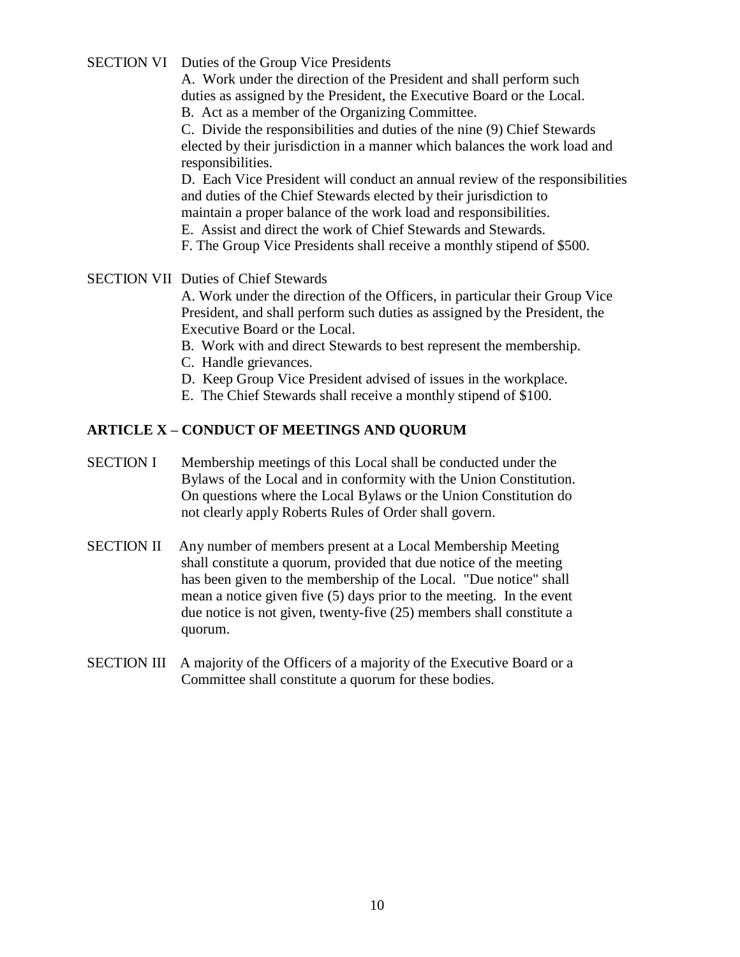SECTION VI Duties of the Group Vice Presidents

A. Work under the direction of the President and shall perform such duties as assigned by the President, the Executive Board or the Local.

B. Act as a member of the Organizing Committee.

C. Divide the responsibilities and duties of the nine (9) Chief Stewards elected by their jurisdiction in a manner which balances the work load and responsibilities.

D. Each Vice President will conduct an annual review of the responsibilities and duties of the Chief Stewards elected by their jurisdiction to maintain a proper balance of the work load and responsibilities.

E. Assist and direct the work of Chief Stewards and Stewards.

F. The Group Vice Presidents shall receive a monthly stipend of \$500.

## SECTION VII Duties of Chief Stewards

A. Work under the direction of the Officers, in particular their Group Vice President, and shall perform such duties as assigned by the President, the Executive Board or the Local.

B. Work with and direct Stewards to best represent the membership.

- C. Handle grievances.
- D. Keep Group Vice President advised of issues in the workplace.
- E. The Chief Stewards shall receive a monthly stipend of \$100.

# **ARTICLE X – CONDUCT OF MEETINGS AND QUORUM**

- SECTION I Membership meetings of this Local shall be conducted under the Bylaws of the Local and in conformity with the Union Constitution. On questions where the Local Bylaws or the Union Constitution do not clearly apply Roberts Rules of Order shall govern.
- SECTION II Any number of members present at a Local Membership Meeting shall constitute a quorum, provided that due notice of the meeting has been given to the membership of the Local. "Due notice" shall mean a notice given five (5) days prior to the meeting. In the event due notice is not given, twenty-five (25) members shall constitute a quorum.
- SECTION III A majority of the Officers of a majority of the Executive Board or a Committee shall constitute a quorum for these bodies.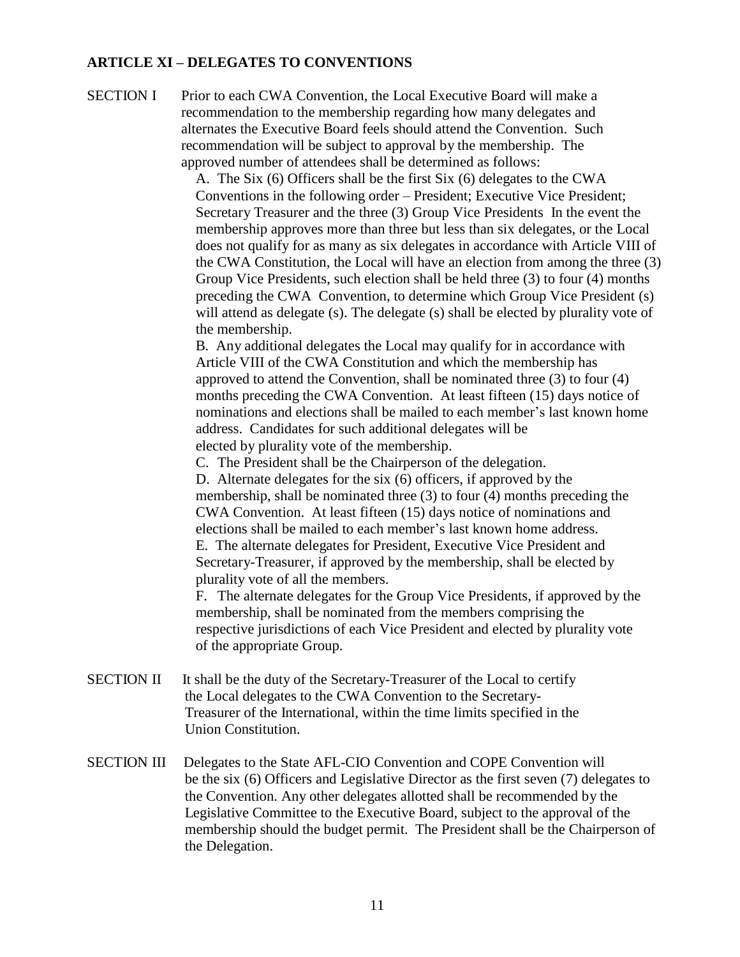## **ARTICLE XI – DELEGATES TO CONVENTIONS**

SECTION I Prior to each CWA Convention, the Local Executive Board will make a recommendation to the membership regarding how many delegates and alternates the Executive Board feels should attend the Convention. Such recommendation will be subject to approval by the membership. The approved number of attendees shall be determined as follows:

> A. The Six (6) Officers shall be the first Six (6) delegates to the CWA Conventions in the following order – President; Executive Vice President; Secretary Treasurer and the three (3) Group Vice Presidents In the event the membership approves more than three but less than six delegates, or the Local does not qualify for as many as six delegates in accordance with Article VIII of the CWA Constitution, the Local will have an election from among the three (3) Group Vice Presidents, such election shall be held three (3) to four (4) months preceding the CWA Convention, to determine which Group Vice President (s) will attend as delegate (s). The delegate (s) shall be elected by plurality vote of the membership.

B. Any additional delegates the Local may qualify for in accordance with Article VIII of the CWA Constitution and which the membership has approved to attend the Convention, shall be nominated three (3) to four (4) months preceding the CWA Convention. At least fifteen (15) days notice of nominations and elections shall be mailed to each member's last known home address. Candidates for such additional delegates will be elected by plurality vote of the membership.

C. The President shall be the Chairperson of the delegation.

D. Alternate delegates for the six (6) officers, if approved by the membership, shall be nominated three (3) to four (4) months preceding the CWA Convention. At least fifteen (15) days notice of nominations and elections shall be mailed to each member's last known home address. E. The alternate delegates for President, Executive Vice President and Secretary-Treasurer, if approved by the membership, shall be elected by

plurality vote of all the members.

F. The alternate delegates for the Group Vice Presidents, if approved by the membership, shall be nominated from the members comprising the respective jurisdictions of each Vice President and elected by plurality vote of the appropriate Group.

- SECTION II It shall be the duty of the Secretary-Treasurer of the Local to certify the Local delegates to the CWA Convention to the Secretary-Treasurer of the International, within the time limits specified in the Union Constitution.
- SECTION III Delegates to the State AFL-CIO Convention and COPE Convention will be the six (6) Officers and Legislative Director as the first seven (7) delegates to the Convention. Any other delegates allotted shall be recommended by the Legislative Committee to the Executive Board, subject to the approval of the membership should the budget permit. The President shall be the Chairperson of the Delegation.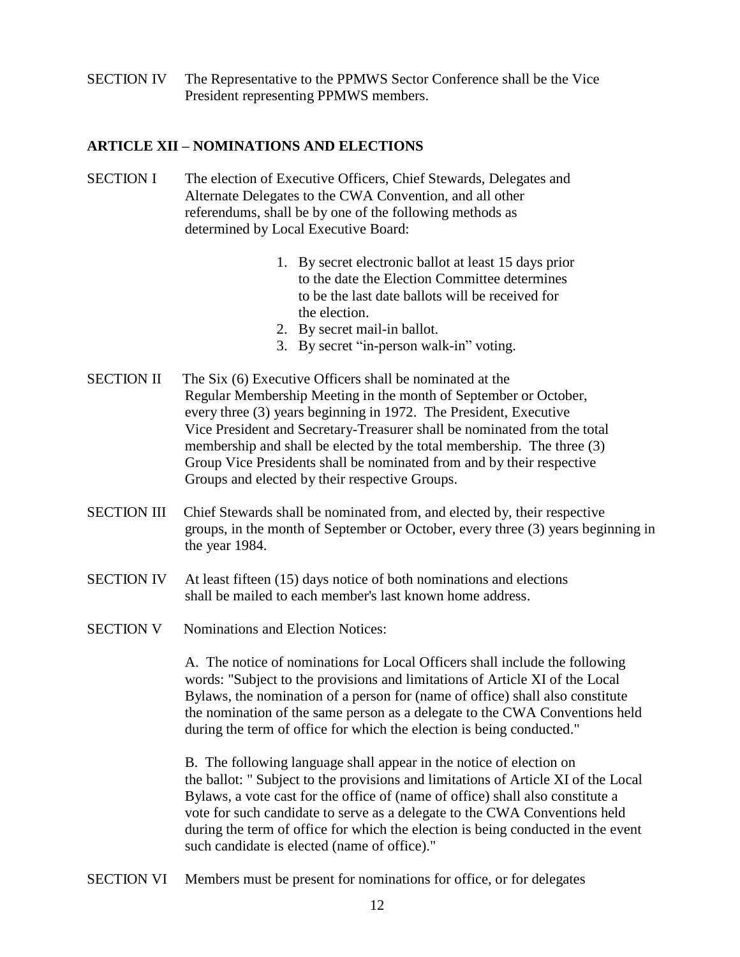SECTION IV The Representative to the PPMWS Sector Conference shall be the Vice President representing PPMWS members.

## **ARTICLE XII – NOMINATIONS AND ELECTIONS**

- SECTION I The election of Executive Officers, Chief Stewards, Delegates and Alternate Delegates to the CWA Convention, and all other referendums, shall be by one of the following methods as determined by Local Executive Board:
	- 1. By secret electronic ballot at least 15 days prior to the date the Election Committee determines to be the last date ballots will be received for the election.
	- 2. By secret mail-in ballot.
	- 3. By secret "in-person walk-in" voting.
- SECTION II The Six (6) Executive Officers shall be nominated at the Regular Membership Meeting in the month of September or October, every three (3) years beginning in 1972. The President, Executive Vice President and Secretary-Treasurer shall be nominated from the total membership and shall be elected by the total membership. The three (3) Group Vice Presidents shall be nominated from and by their respective Groups and elected by their respective Groups.
- SECTION III Chief Stewards shall be nominated from, and elected by, their respective groups, in the month of September or October, every three (3) years beginning in the year 1984.
- SECTION IV At least fifteen (15) days notice of both nominations and elections shall be mailed to each member's last known home address.
- SECTION V Nominations and Election Notices:

A. The notice of nominations for Local Officers shall include the following words: "Subject to the provisions and limitations of Article XI of the Local Bylaws, the nomination of a person for (name of office) shall also constitute the nomination of the same person as a delegate to the CWA Conventions held during the term of office for which the election is being conducted."

B. The following language shall appear in the notice of election on the ballot: " Subject to the provisions and limitations of Article XI of the Local Bylaws, a vote cast for the office of (name of office) shall also constitute a vote for such candidate to serve as a delegate to the CWA Conventions held during the term of office for which the election is being conducted in the event such candidate is elected (name of office)."

SECTION VI Members must be present for nominations for office, or for delegates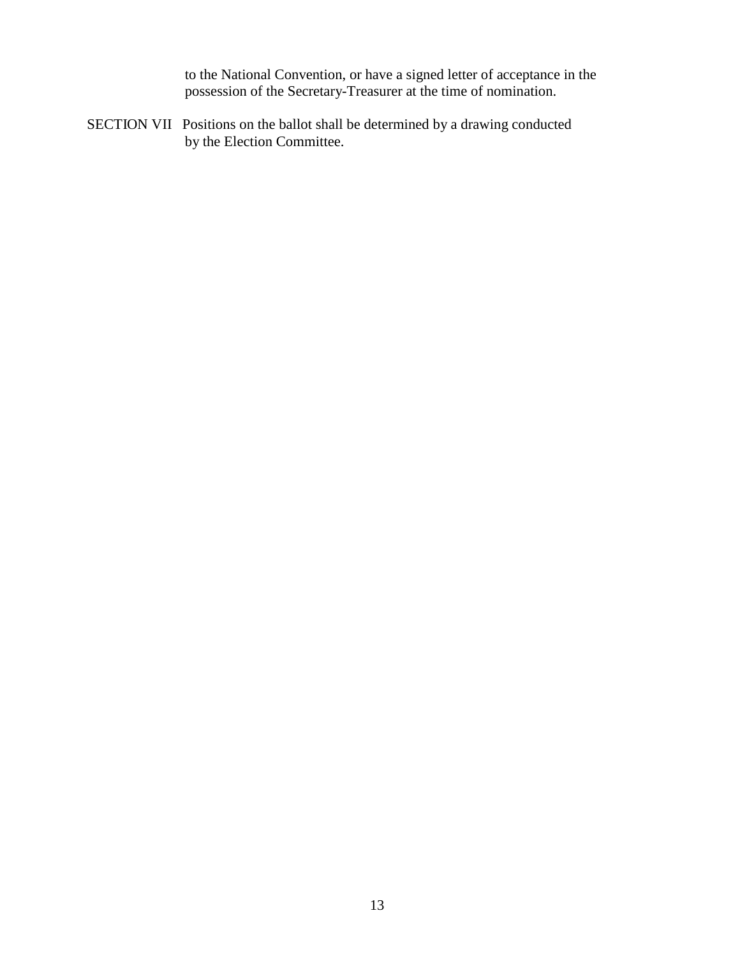to the National Convention, or have a signed letter of acceptance in the possession of the Secretary-Treasurer at the time of nomination.

SECTION VII Positions on the ballot shall be determined by a drawing conducted by the Election Committee.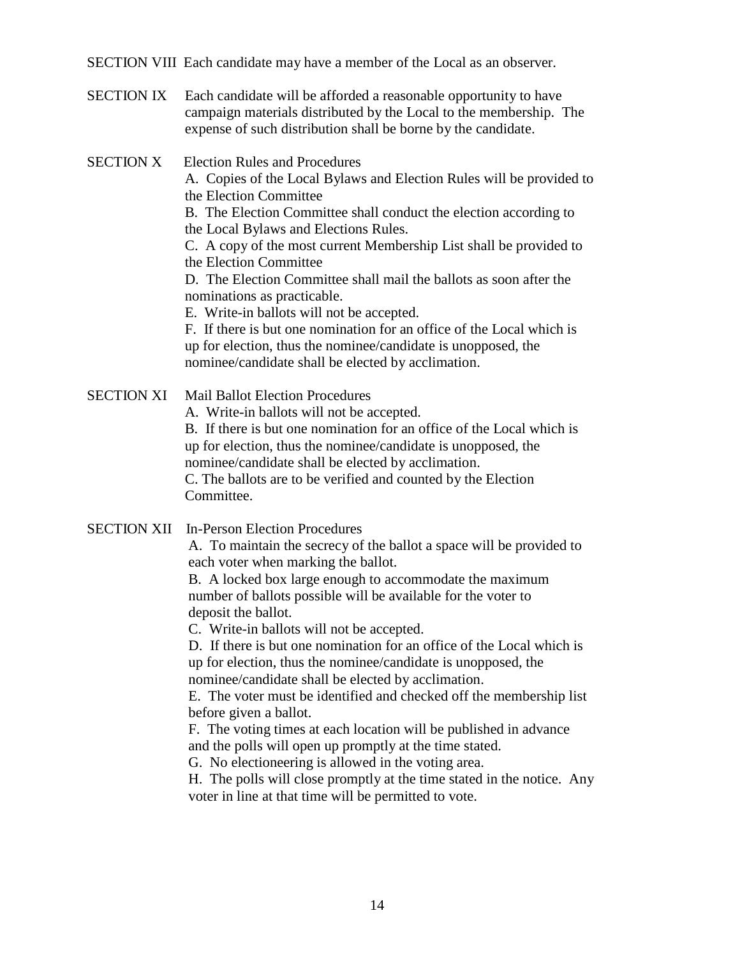SECTION VIII Each candidate may have a member of the Local as an observer.

SECTION IX Each candidate will be afforded a reasonable opportunity to have campaign materials distributed by the Local to the membership. The expense of such distribution shall be borne by the candidate.

SECTION X Election Rules and Procedures

A. Copies of the Local Bylaws and Election Rules will be provided to the Election Committee

B. The Election Committee shall conduct the election according to the Local Bylaws and Elections Rules.

C. A copy of the most current Membership List shall be provided to the Election Committee

D. The Election Committee shall mail the ballots as soon after the nominations as practicable.

E. Write-in ballots will not be accepted.

F. If there is but one nomination for an office of the Local which is up for election, thus the nominee/candidate is unopposed, the nominee/candidate shall be elected by acclimation.

SECTION XI Mail Ballot Election Procedures

A. Write-in ballots will not be accepted.

B. If there is but one nomination for an office of the Local which is up for election, thus the nominee/candidate is unopposed, the nominee/candidate shall be elected by acclimation.

C. The ballots are to be verified and counted by the Election Committee.

SECTION XII In-Person Election Procedures

A. To maintain the secrecy of the ballot a space will be provided to each voter when marking the ballot.

B. A locked box large enough to accommodate the maximum number of ballots possible will be available for the voter to deposit the ballot.

C. Write-in ballots will not be accepted.

D. If there is but one nomination for an office of the Local which is up for election, thus the nominee/candidate is unopposed, the nominee/candidate shall be elected by acclimation.

E. The voter must be identified and checked off the membership list before given a ballot.

F. The voting times at each location will be published in advance and the polls will open up promptly at the time stated.

G. No electioneering is allowed in the voting area.

H. The polls will close promptly at the time stated in the notice. Any voter in line at that time will be permitted to vote.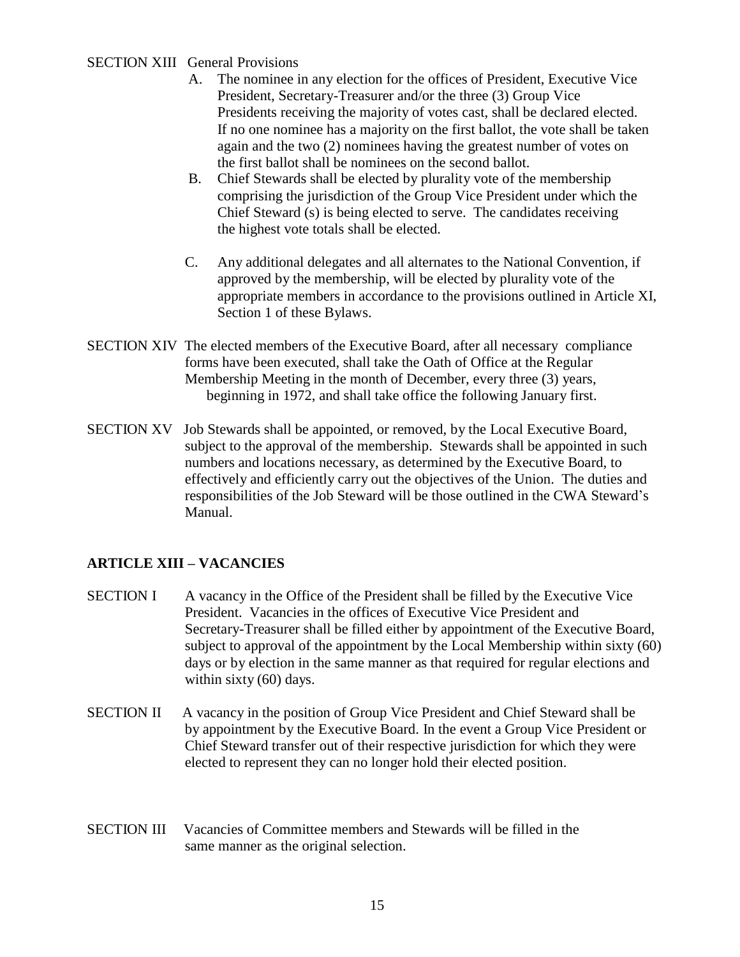## SECTION XIII General Provisions

- A. The nominee in any election for the offices of President, Executive Vice President, Secretary-Treasurer and/or the three (3) Group Vice Presidents receiving the majority of votes cast, shall be declared elected. If no one nominee has a majority on the first ballot, the vote shall be taken again and the two (2) nominees having the greatest number of votes on the first ballot shall be nominees on the second ballot.
- B. Chief Stewards shall be elected by plurality vote of the membership comprising the jurisdiction of the Group Vice President under which the Chief Steward (s) is being elected to serve. The candidates receiving the highest vote totals shall be elected.
- C. Any additional delegates and all alternates to the National Convention, if approved by the membership, will be elected by plurality vote of the appropriate members in accordance to the provisions outlined in Article XI, Section 1 of these Bylaws.
- SECTION XIV The elected members of the Executive Board, after all necessary compliance forms have been executed, shall take the Oath of Office at the Regular Membership Meeting in the month of December, every three (3) years, beginning in 1972, and shall take office the following January first.
- SECTION XV Job Stewards shall be appointed, or removed, by the Local Executive Board, subject to the approval of the membership. Stewards shall be appointed in such numbers and locations necessary, as determined by the Executive Board, to effectively and efficiently carry out the objectives of the Union. The duties and responsibilities of the Job Steward will be those outlined in the CWA Steward's Manual.

## **ARTICLE XIII – VACANCIES**

- SECTION I A vacancy in the Office of the President shall be filled by the Executive Vice President. Vacancies in the offices of Executive Vice President and Secretary-Treasurer shall be filled either by appointment of the Executive Board, subject to approval of the appointment by the Local Membership within sixty (60) days or by election in the same manner as that required for regular elections and within sixty (60) days.
- SECTION II A vacancy in the position of Group Vice President and Chief Steward shall be by appointment by the Executive Board. In the event a Group Vice President or Chief Steward transfer out of their respective jurisdiction for which they were elected to represent they can no longer hold their elected position.
- SECTION III Vacancies of Committee members and Stewards will be filled in the same manner as the original selection.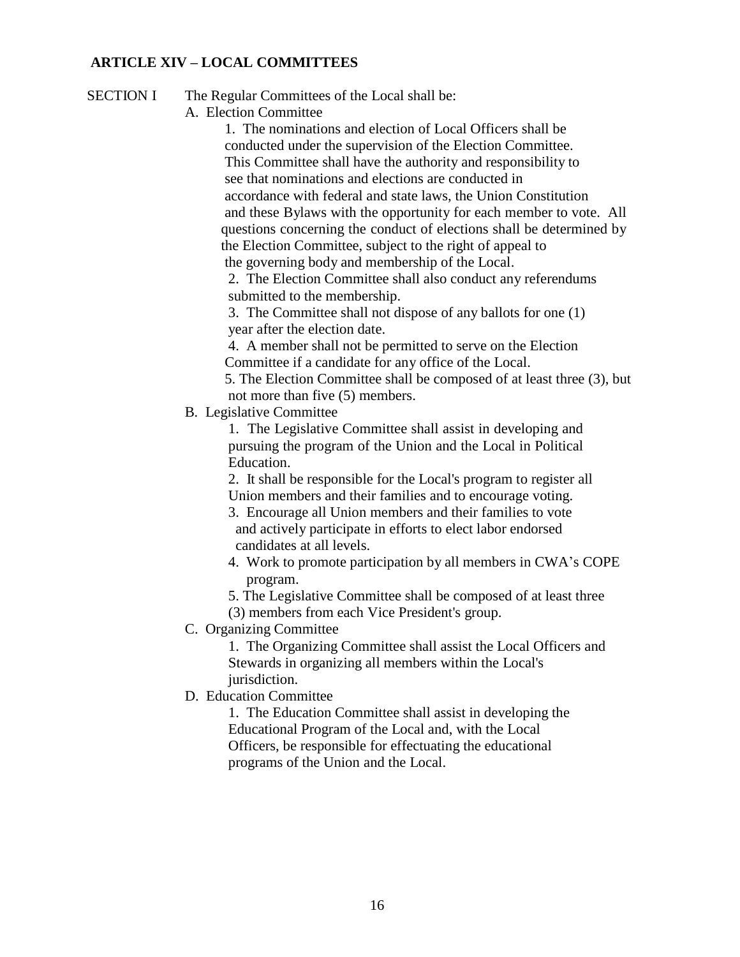## **ARTICLE XIV – LOCAL COMMITTEES**

SECTION I The Regular Committees of the Local shall be:

A. Election Committee

1. The nominations and election of Local Officers shall be conducted under the supervision of the Election Committee. This Committee shall have the authority and responsibility to see that nominations and elections are conducted in accordance with federal and state laws, the Union Constitution and these Bylaws with the opportunity for each member to vote. All questions concerning the conduct of elections shall be determined by the Election Committee, subject to the right of appeal to the governing body and membership of the Local.

2. The Election Committee shall also conduct any referendums submitted to the membership.

3. The Committee shall not dispose of any ballots for one (1) year after the election date.

4. A member shall not be permitted to serve on the Election Committee if a candidate for any office of the Local.

5. The Election Committee shall be composed of at least three (3), but not more than five (5) members.

B. Legislative Committee

1. The Legislative Committee shall assist in developing and pursuing the program of the Union and the Local in Political Education.

2. It shall be responsible for the Local's program to register all Union members and their families and to encourage voting.

3. Encourage all Union members and their families to vote and actively participate in efforts to elect labor endorsed candidates at all levels.

- 4. Work to promote participation by all members in CWA's COPE program.
- 5. The Legislative Committee shall be composed of at least three
- (3) members from each Vice President's group.
- C. Organizing Committee

1. The Organizing Committee shall assist the Local Officers and Stewards in organizing all members within the Local's jurisdiction.

D. Education Committee

1. The Education Committee shall assist in developing the Educational Program of the Local and, with the Local Officers, be responsible for effectuating the educational programs of the Union and the Local.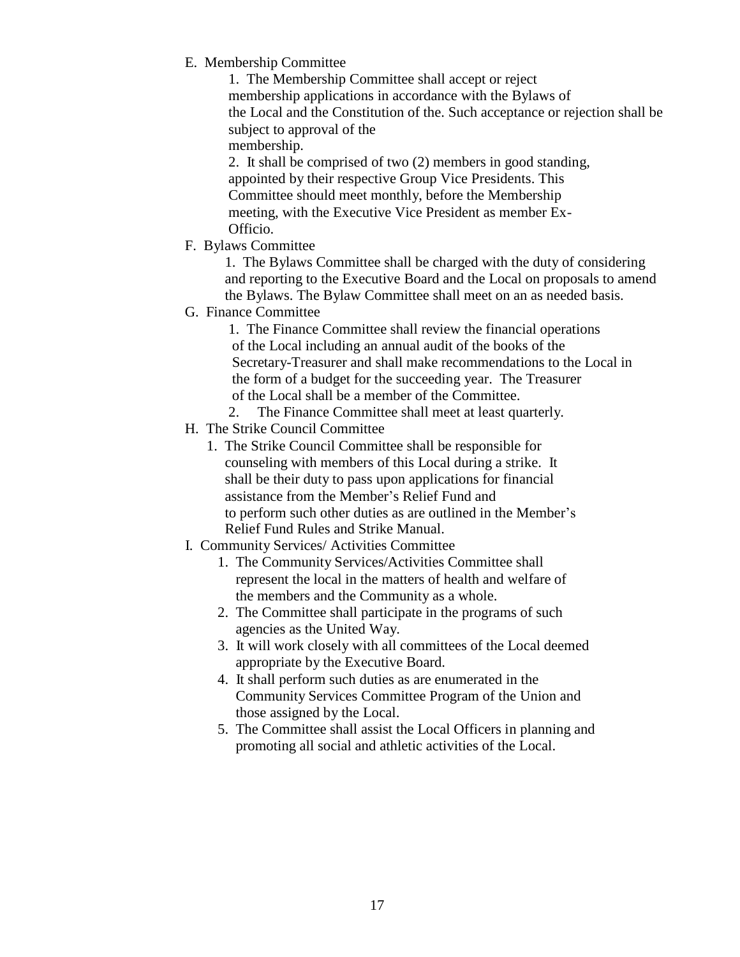E. Membership Committee

1. The Membership Committee shall accept or reject membership applications in accordance with the Bylaws of the Local and the Constitution of the. Such acceptance or rejection shall be subject to approval of the

membership.

2. It shall be comprised of two (2) members in good standing, appointed by their respective Group Vice Presidents. This Committee should meet monthly, before the Membership meeting, with the Executive Vice President as member Ex-Officio.

F. Bylaws Committee

1. The Bylaws Committee shall be charged with the duty of considering and reporting to the Executive Board and the Local on proposals to amend the Bylaws. The Bylaw Committee shall meet on an as needed basis.

G. Finance Committee

1. The Finance Committee shall review the financial operations of the Local including an annual audit of the books of the Secretary-Treasurer and shall make recommendations to the Local in the form of a budget for the succeeding year. The Treasurer of the Local shall be a member of the Committee.

- 2. The Finance Committee shall meet at least quarterly.
- H. The Strike Council Committee
	- 1. The Strike Council Committee shall be responsible for counseling with members of this Local during a strike. It shall be their duty to pass upon applications for financial assistance from the Member's Relief Fund and to perform such other duties as are outlined in the Member's Relief Fund Rules and Strike Manual.
- I. Community Services/ Activities Committee
	- 1. The Community Services/Activities Committee shall represent the local in the matters of health and welfare of the members and the Community as a whole.
	- 2. The Committee shall participate in the programs of such agencies as the United Way.
	- 3. It will work closely with all committees of the Local deemed appropriate by the Executive Board.
	- 4. It shall perform such duties as are enumerated in the Community Services Committee Program of the Union and those assigned by the Local.
	- 5. The Committee shall assist the Local Officers in planning and promoting all social and athletic activities of the Local.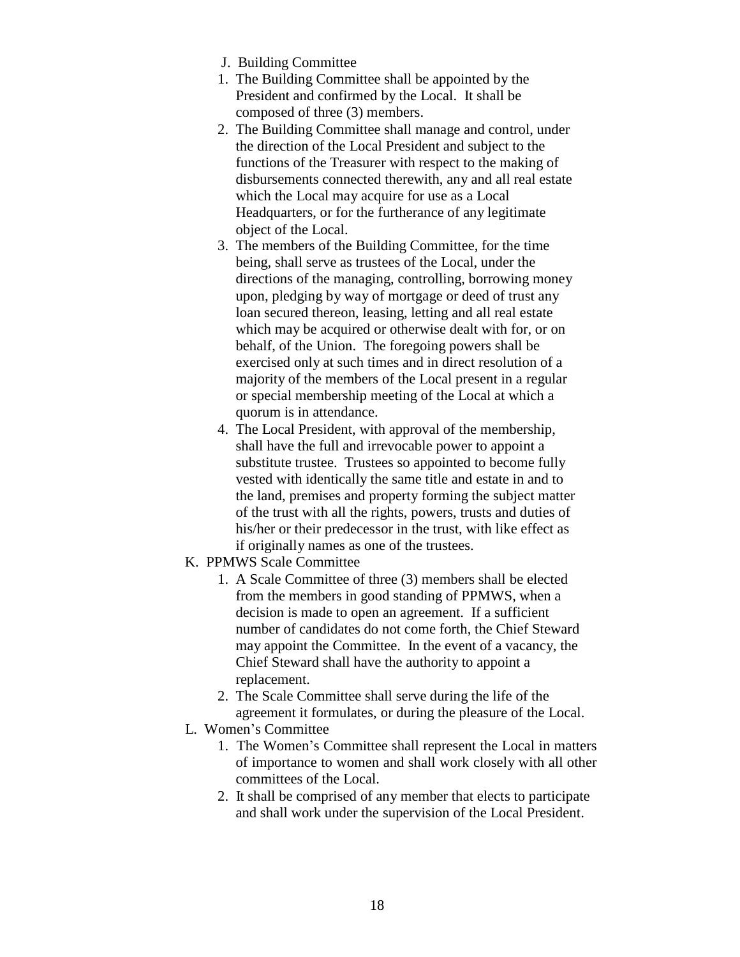- J. Building Committee
- 1. The Building Committee shall be appointed by the President and confirmed by the Local. It shall be composed of three (3) members.
- 2. The Building Committee shall manage and control, under the direction of the Local President and subject to the functions of the Treasurer with respect to the making of disbursements connected therewith, any and all real estate which the Local may acquire for use as a Local Headquarters, or for the furtherance of any legitimate object of the Local.
- 3. The members of the Building Committee, for the time being, shall serve as trustees of the Local, under the directions of the managing, controlling, borrowing money upon, pledging by way of mortgage or deed of trust any loan secured thereon, leasing, letting and all real estate which may be acquired or otherwise dealt with for, or on behalf, of the Union. The foregoing powers shall be exercised only at such times and in direct resolution of a majority of the members of the Local present in a regular or special membership meeting of the Local at which a quorum is in attendance.
- 4. The Local President, with approval of the membership, shall have the full and irrevocable power to appoint a substitute trustee. Trustees so appointed to become fully vested with identically the same title and estate in and to the land, premises and property forming the subject matter of the trust with all the rights, powers, trusts and duties of his/her or their predecessor in the trust, with like effect as if originally names as one of the trustees.
- K. PPMWS Scale Committee
	- 1. A Scale Committee of three (3) members shall be elected from the members in good standing of PPMWS, when a decision is made to open an agreement. If a sufficient number of candidates do not come forth, the Chief Steward may appoint the Committee. In the event of a vacancy, the Chief Steward shall have the authority to appoint a replacement.
	- 2. The Scale Committee shall serve during the life of the agreement it formulates, or during the pleasure of the Local.
- L. Women's Committee
	- 1. The Women's Committee shall represent the Local in matters of importance to women and shall work closely with all other committees of the Local.
	- 2. It shall be comprised of any member that elects to participate and shall work under the supervision of the Local President.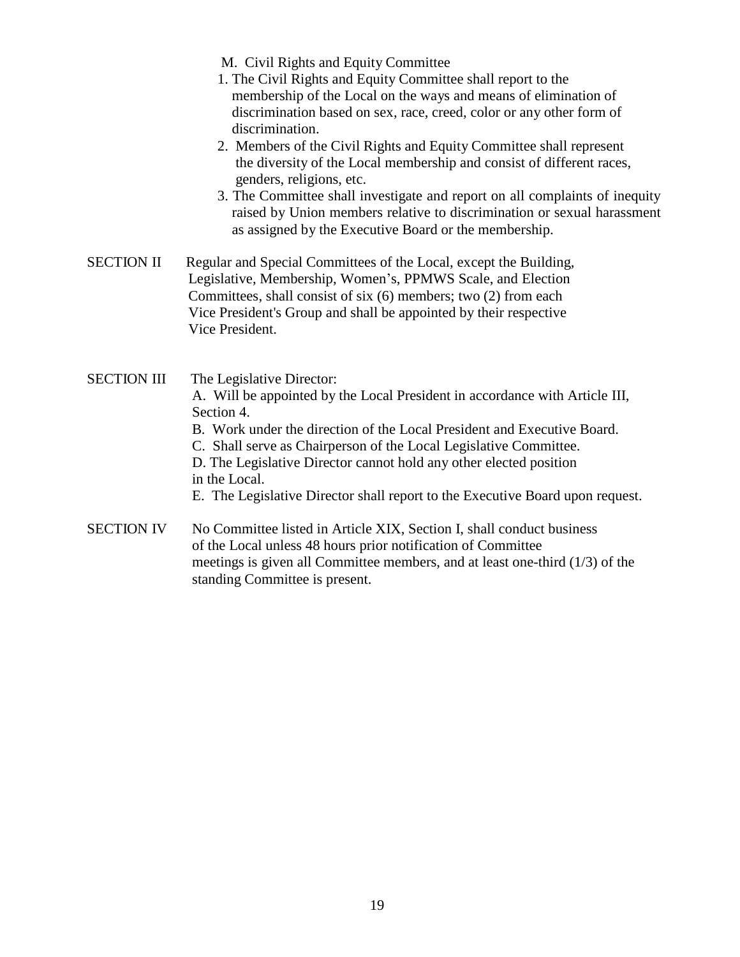M. Civil Rights and Equity Committee

- 1. The Civil Rights and Equity Committee shall report to the membership of the Local on the ways and means of elimination of discrimination based on sex, race, creed, color or any other form of discrimination.
- 2. Members of the Civil Rights and Equity Committee shall represent the diversity of the Local membership and consist of different races, genders, religions, etc.
- 3. The Committee shall investigate and report on all complaints of inequity raised by Union members relative to discrimination or sexual harassment as assigned by the Executive Board or the membership.

SECTION II Regular and Special Committees of the Local, except the Building, Legislative, Membership, Women's, PPMWS Scale, and Election Committees, shall consist of six (6) members; two (2) from each Vice President's Group and shall be appointed by their respective Vice President.

SECTION III The Legislative Director: A. Will be appointed by the Local President in accordance with Article III, Section 4. B. Work under the direction of the Local President and Executive Board. C. Shall serve as Chairperson of the Local Legislative Committee. D. The Legislative Director cannot hold any other elected position in the Local. E. The Legislative Director shall report to the Executive Board upon request. SECTION IV No Committee listed in Article XIX, Section I, shall conduct business of the Local unless 48 hours prior notification of Committee meetings is given all Committee members, and at least one-third (1/3) of the

standing Committee is present.

19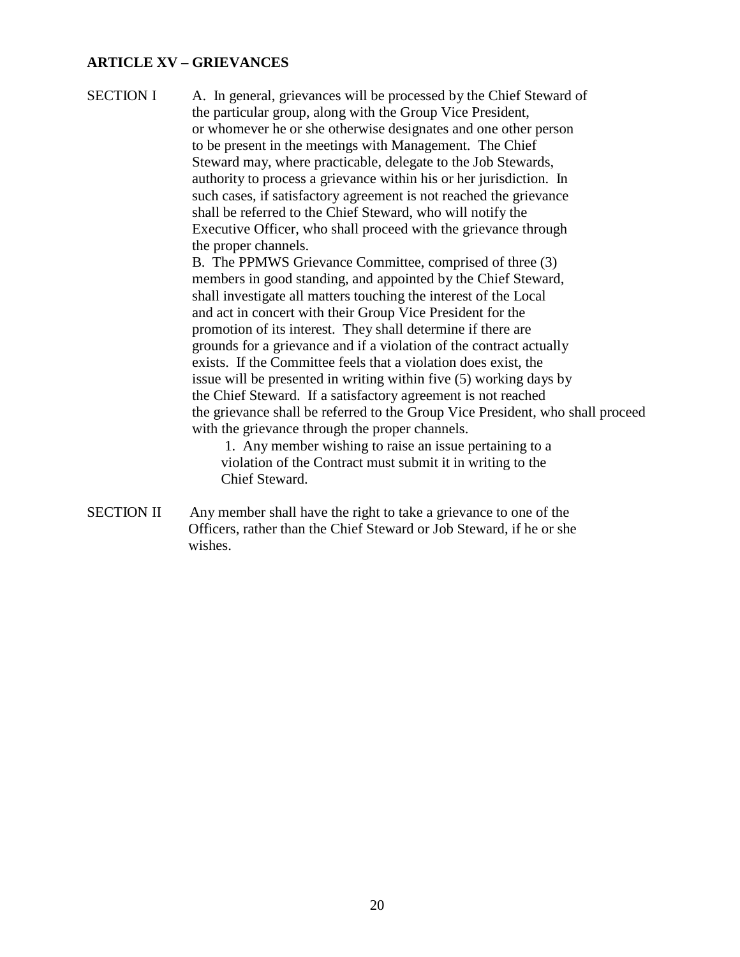## **ARTICLE XV – GRIEVANCES**

SECTION I A. In general, grievances will be processed by the Chief Steward of the particular group, along with the Group Vice President, or whomever he or she otherwise designates and one other person to be present in the meetings with Management. The Chief Steward may, where practicable, delegate to the Job Stewards, authority to process a grievance within his or her jurisdiction. In such cases, if satisfactory agreement is not reached the grievance shall be referred to the Chief Steward, who will notify the Executive Officer, who shall proceed with the grievance through the proper channels.

> B. The PPMWS Grievance Committee, comprised of three (3) members in good standing, and appointed by the Chief Steward, shall investigate all matters touching the interest of the Local and act in concert with their Group Vice President for the promotion of its interest. They shall determine if there are grounds for a grievance and if a violation of the contract actually exists. If the Committee feels that a violation does exist, the issue will be presented in writing within five (5) working days by the Chief Steward. If a satisfactory agreement is not reached the grievance shall be referred to the Group Vice President, who shall proceed with the grievance through the proper channels.

1. Any member wishing to raise an issue pertaining to a violation of the Contract must submit it in writing to the Chief Steward.

SECTION II Any member shall have the right to take a grievance to one of the Officers, rather than the Chief Steward or Job Steward, if he or she wishes.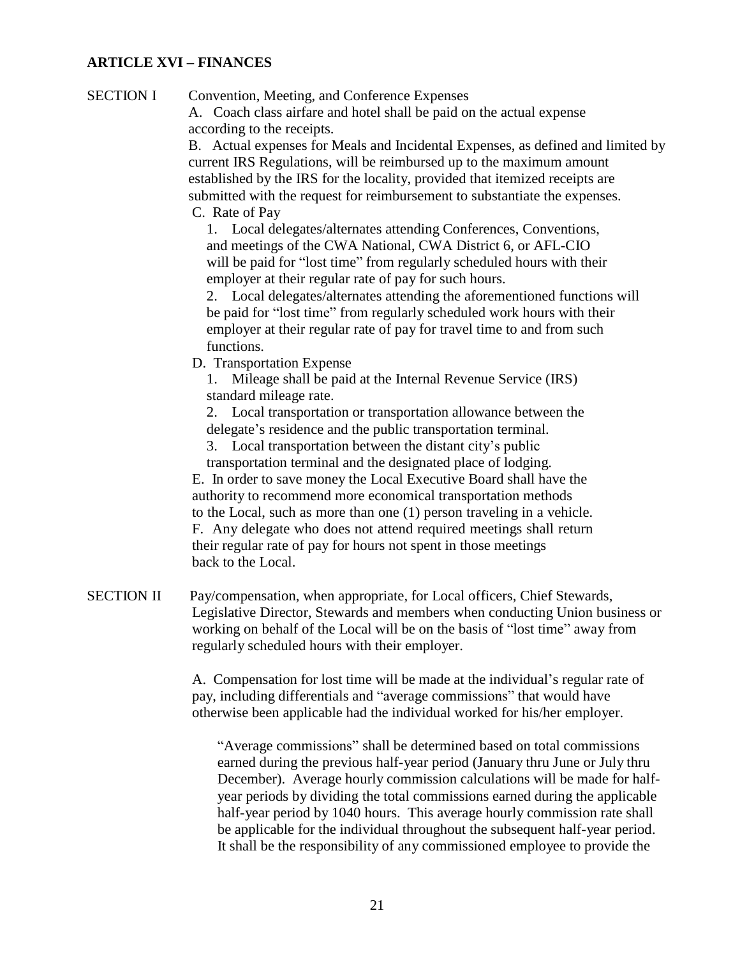## **ARTICLE XVI – FINANCES**

SECTION I Convention, Meeting, and Conference Expenses

A. Coach class airfare and hotel shall be paid on the actual expense according to the receipts.

B. Actual expenses for Meals and Incidental Expenses, as defined and limited by current IRS Regulations, will be reimbursed up to the maximum amount established by the IRS for the locality, provided that itemized receipts are submitted with the request for reimbursement to substantiate the expenses.

C. Rate of Pay

1. Local delegates/alternates attending Conferences, Conventions, and meetings of the CWA National, CWA District 6, or AFL-CIO will be paid for "lost time" from regularly scheduled hours with their employer at their regular rate of pay for such hours.

2. Local delegates/alternates attending the aforementioned functions will be paid for "lost time" from regularly scheduled work hours with their employer at their regular rate of pay for travel time to and from such functions.

D. Transportation Expense

1. Mileage shall be paid at the Internal Revenue Service (IRS) standard mileage rate.

2. Local transportation or transportation allowance between the delegate's residence and the public transportation terminal.

3. Local transportation between the distant city's public transportation terminal and the designated place of lodging.

E. In order to save money the Local Executive Board shall have the authority to recommend more economical transportation methods to the Local, such as more than one (1) person traveling in a vehicle. F. Any delegate who does not attend required meetings shall return their regular rate of pay for hours not spent in those meetings back to the Local.

SECTION II Pay/compensation, when appropriate, for Local officers, Chief Stewards, Legislative Director, Stewards and members when conducting Union business or working on behalf of the Local will be on the basis of "lost time" away from regularly scheduled hours with their employer.

> A. Compensation for lost time will be made at the individual's regular rate of pay, including differentials and "average commissions" that would have otherwise been applicable had the individual worked for his/her employer.

"Average commissions" shall be determined based on total commissions earned during the previous half-year period (January thru June or July thru December). Average hourly commission calculations will be made for halfyear periods by dividing the total commissions earned during the applicable half-year period by 1040 hours. This average hourly commission rate shall be applicable for the individual throughout the subsequent half-year period. It shall be the responsibility of any commissioned employee to provide the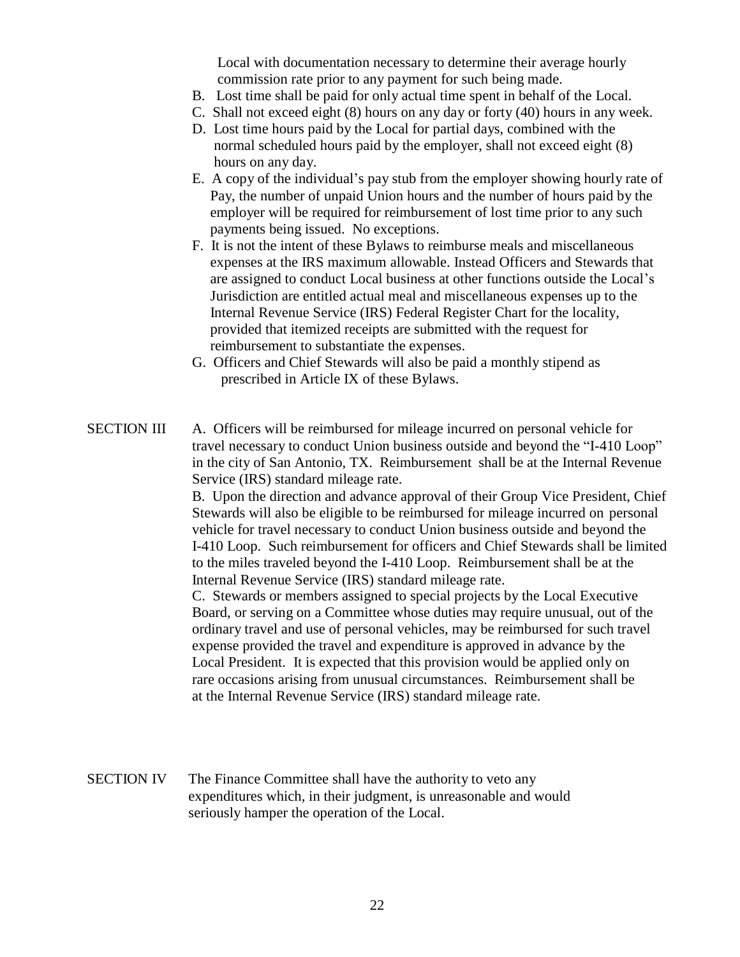Local with documentation necessary to determine their average hourly commission rate prior to any payment for such being made.

- B. Lost time shall be paid for only actual time spent in behalf of the Local.
- C. Shall not exceed eight (8) hours on any day or forty (40) hours in any week.
- D. Lost time hours paid by the Local for partial days, combined with the normal scheduled hours paid by the employer, shall not exceed eight (8) hours on any day.
- E. A copy of the individual's pay stub from the employer showing hourly rate of Pay, the number of unpaid Union hours and the number of hours paid by the employer will be required for reimbursement of lost time prior to any such payments being issued. No exceptions.
- F. It is not the intent of these Bylaws to reimburse meals and miscellaneous expenses at the IRS maximum allowable. Instead Officers and Stewards that are assigned to conduct Local business at other functions outside the Local's Jurisdiction are entitled actual meal and miscellaneous expenses up to the Internal Revenue Service (IRS) Federal Register Chart for the locality, provided that itemized receipts are submitted with the request for reimbursement to substantiate the expenses.
- G. Officers and Chief Stewards will also be paid a monthly stipend as prescribed in Article IX of these Bylaws.
- SECTION III A. Officers will be reimbursed for mileage incurred on personal vehicle for travel necessary to conduct Union business outside and beyond the "I-410 Loop" in the city of San Antonio, TX. Reimbursement shall be at the Internal Revenue Service (IRS) standard mileage rate.

B. Upon the direction and advance approval of their Group Vice President, Chief Stewards will also be eligible to be reimbursed for mileage incurred on personal vehicle for travel necessary to conduct Union business outside and beyond the I-410 Loop. Such reimbursement for officers and Chief Stewards shall be limited to the miles traveled beyond the I-410 Loop. Reimbursement shall be at the Internal Revenue Service (IRS) standard mileage rate.

C. Stewards or members assigned to special projects by the Local Executive Board, or serving on a Committee whose duties may require unusual, out of the ordinary travel and use of personal vehicles, may be reimbursed for such travel expense provided the travel and expenditure is approved in advance by the Local President. It is expected that this provision would be applied only on rare occasions arising from unusual circumstances. Reimbursement shall be at the Internal Revenue Service (IRS) standard mileage rate.

SECTION IV The Finance Committee shall have the authority to veto any expenditures which, in their judgment, is unreasonable and would seriously hamper the operation of the Local.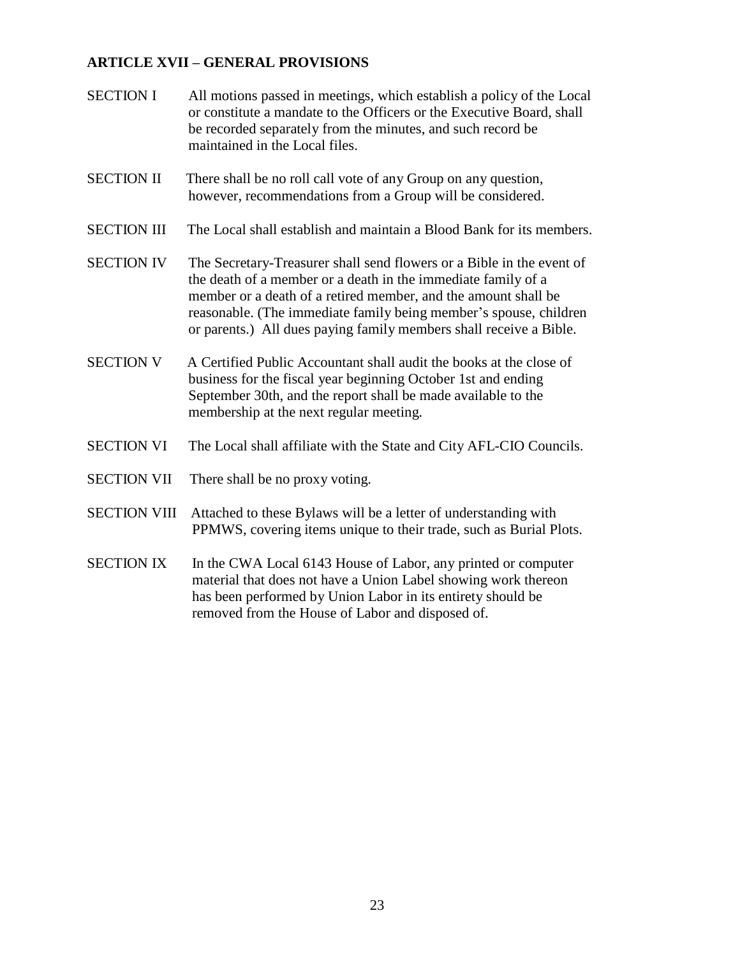# **ARTICLE XVII – GENERAL PROVISIONS**

- SECTION I All motions passed in meetings, which establish a policy of the Local or constitute a mandate to the Officers or the Executive Board, shall be recorded separately from the minutes, and such record be maintained in the Local files.
- SECTION II There shall be no roll call vote of any Group on any question, however, recommendations from a Group will be considered.
- SECTION III The Local shall establish and maintain a Blood Bank for its members.
- SECTION IV The Secretary-Treasurer shall send flowers or a Bible in the event of the death of a member or a death in the immediate family of a member or a death of a retired member, and the amount shall be reasonable. (The immediate family being member's spouse, children or parents.) All dues paying family members shall receive a Bible.
- SECTION V A Certified Public Accountant shall audit the books at the close of business for the fiscal year beginning October 1st and ending September 30th, and the report shall be made available to the membership at the next regular meeting.
- SECTION VI The Local shall affiliate with the State and City AFL-CIO Councils.
- SECTION VII There shall be no proxy voting.
- SECTION VIII Attached to these Bylaws will be a letter of understanding with PPMWS, covering items unique to their trade, such as Burial Plots.
- SECTION IX In the CWA Local 6143 House of Labor, any printed or computer material that does not have a Union Label showing work thereon has been performed by Union Labor in its entirety should be removed from the House of Labor and disposed of.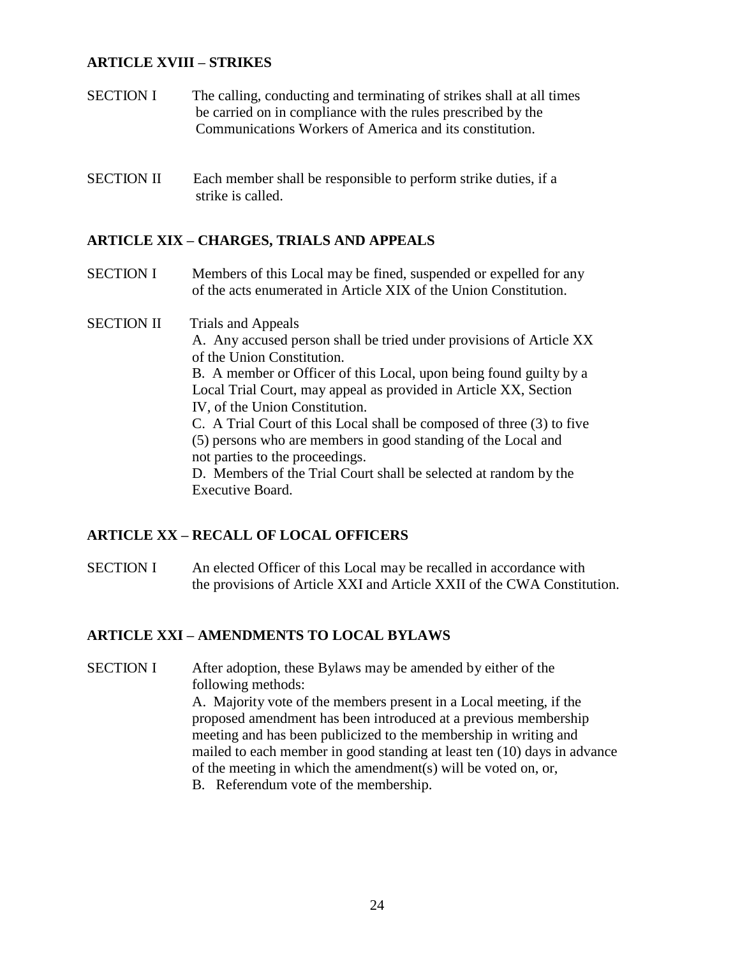## **ARTICLE XVIII – STRIKES**

- SECTION I The calling, conducting and terminating of strikes shall at all times be carried on in compliance with the rules prescribed by the Communications Workers of America and its constitution.
- SECTION II Each member shall be responsible to perform strike duties, if a strike is called.

#### **ARTICLE XIX – CHARGES, TRIALS AND APPEALS**

- SECTION I Members of this Local may be fined, suspended or expelled for any of the acts enumerated in Article XIX of the Union Constitution.
- SECTION II Trials and Appeals A. Any accused person shall be tried under provisions of Article XX of the Union Constitution. B. A member or Officer of this Local, upon being found guilty by a Local Trial Court, may appeal as provided in Article XX, Section IV, of the Union Constitution. C. A Trial Court of this Local shall be composed of three (3) to five (5) persons who are members in good standing of the Local and not parties to the proceedings. D. Members of the Trial Court shall be selected at random by the Executive Board.

#### **ARTICLE XX – RECALL OF LOCAL OFFICERS**

SECTION I An elected Officer of this Local may be recalled in accordance with the provisions of Article XXI and Article XXII of the CWA Constitution.

#### **ARTICLE XXI – AMENDMENTS TO LOCAL BYLAWS**

SECTION I After adoption, these Bylaws may be amended by either of the following methods: A. Majority vote of the members present in a Local meeting, if the proposed amendment has been introduced at a previous membership

meeting and has been publicized to the membership in writing and mailed to each member in good standing at least ten (10) days in advance of the meeting in which the amendment(s) will be voted on, or,

B. Referendum vote of the membership.